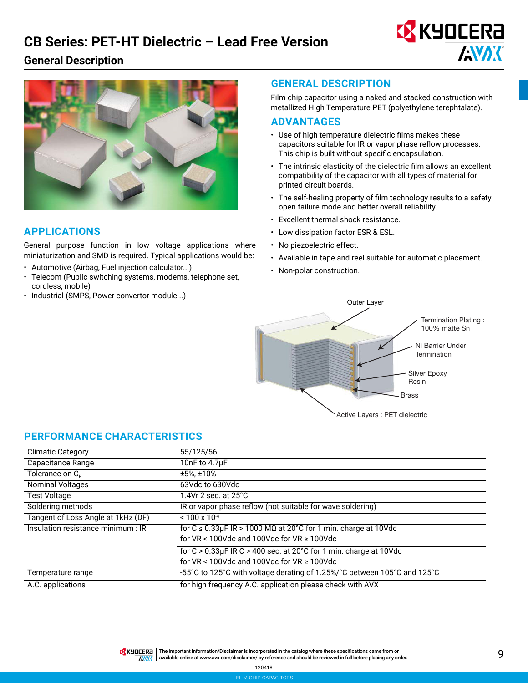## **CB Series: PET-HT Dielectric – Lead Free Version**





## **APPLICATIONS**

General purpose function in low voltage applications where miniaturization and SMD is required. Typical applications would be:

- Automotive (Airbag, Fuel injection calculator...)
- Telecom (Public switching systems, modems, telephone set, cordless, mobile)
- Industrial (SMPS, Power convertor module...)

### **GENERAL DESCRIPTION**

Film chip capacitor using a naked and stacked construction with metallized High Temperature PET (polyethylene terephtalate).

**EX KYOCERA** 

**AVAX** 

#### **ADVANTAGES**

- Use of high temperature dielectric films makes these capacitors suitable for IR or vapor phase reflow processes. This chip is built without specific encapsulation.
- The intrinsic elasticity of the dielectric film allows an excellent compatibility of the capacitor with all types of material for printed circuit boards.
- The self-healing property of film technology results to a safety open failure mode and better overall reliability.
- Excellent thermal shock resistance.
- Low dissipation factor ESR & ESL.
- No piezoelectric effect.
- Available in tape and reel suitable for automatic placement.
- Non-polar construction.



## **PERFORMANCE CHARACTERISTICS**

| <b>Climatic Category</b>           | 55/125/56                                                                      |
|------------------------------------|--------------------------------------------------------------------------------|
| Capacitance Range                  | 10nF to 4.7µF                                                                  |
| Tolerance on $C_{R}$               | $±5\%.±10\%$                                                                   |
| <b>Nominal Voltages</b>            | 63Vdc to 630Vdc                                                                |
| <b>Test Voltage</b>                | 1.4Vr 2 sec. at $25^{\circ}$ C                                                 |
| Soldering methods                  | IR or vapor phase reflow (not suitable for wave soldering)                     |
| Tangent of Loss Angle at 1kHz (DF) | $< 100 \times 10^{-4}$                                                         |
| Insulation resistance minimum : IR | for $C \le 0.33 \mu$ F IR > 1000 M $\Omega$ at 20°C for 1 min. charge at 10Vdc |
|                                    | for $VR < 100$ Vdc and 100Vdc for $VR \ge 100$ Vdc                             |
|                                    | for $C > 0.33 \mu$ F IR C > 400 sec. at 20°C for 1 min. charge at 10Vdc        |
|                                    | for $VR < 100$ Vdc and 100Vdc for $VR \ge 100$ Vdc                             |
| Temperature range                  | -55°C to 125°C with voltage derating of 1.25%/°C between 105°C and 125°C       |
| A.C. applications                  | for high frequency A.C. application please check with AVX                      |

9 The Important Information/Disclaimer is incorporated in the catalog where these specifications came from or available online at [www.avx.com/disclaimer/](http://www.avx.com/disclaimer/) by reference and should be reviewed in full before placing any order. **ANAK**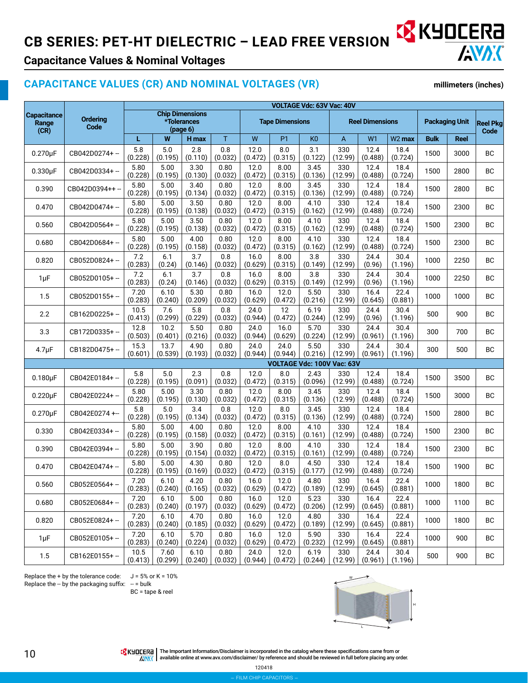## **CB SERIES: PET-HT DIELECTRIC – LEAD FREE VERSION & KYOCERA**



## **Capacitance Values & Nominal Voltages**

## **CAPACITANCE VALUES (CR) AND NOMINAL VOLTAGES (VR)**

**millimeters (inches)**

|                                     |                         | VOLTAGE Vdc: 63V Vac: 40V |                                                   |                 |                 |                 |                            |                 |                |                 |                        |             |             |                         |
|-------------------------------------|-------------------------|---------------------------|---------------------------------------------------|-----------------|-----------------|-----------------|----------------------------|-----------------|----------------|-----------------|------------------------|-------------|-------------|-------------------------|
| <b>Capacitance</b><br>Range<br>(CR) | <b>Ordering</b><br>Code |                           | <b>Chip Dimensions</b><br>*Tolerances<br>(page 6) |                 |                 |                 | <b>Tape Dimensions</b>     |                 |                |                 | <b>Reel Dimensions</b> |             |             | <b>Reel Pkg</b><br>Code |
|                                     |                         | L                         | W                                                 | H max           | T               | W               | P <sub>1</sub>             | K <sub>0</sub>  | A              | W <sub>1</sub>  | W <sub>2</sub> max     | <b>Bulk</b> | <b>Reel</b> |                         |
| $0.270\mu F$                        | CB042D0274+ --          | 5.8<br>(0.228)            | 5.0<br>(0.195)                                    | 2.8<br>(0.110)  | 0.8<br>(0.032)  | 12.0<br>(0.472) | 8.0<br>(0.315)             | 3.1<br>(0.122)  | 330<br>(12.99) | 12.4<br>(0.488) | 18.4<br>(0.724)        | 1500        | 3000        | BC                      |
| $0.330\mu F$                        | CB042D0334+-            | 5.80<br>(0.228)           | 5.00<br>(0.195)                                   | 3.30<br>(0.130) | 0.80<br>(0.032) | 12.0<br>(0.472) | 8.00<br>(0.315)            | 3.45<br>(0.136) | 330<br>(12.99) | 12.4<br>(0.488) | 18.4<br>(0.724)        | 1500        | 2800        | BC                      |
| 0.390                               | CB042D0394++ --         | 5.80<br>(0.228)           | 5.00<br>(0.195)                                   | 3.40<br>(0.134) | 0.80<br>(0.032) | 12.0<br>(0.472) | 8.00<br>(0.315)            | 3.45<br>(0.136) | 330<br>(12.99) | 12.4<br>(0.488) | 18.4<br>(0.724)        | 1500        | 2800        | BC                      |
| 0.470                               | CB042D0474+-            | 5.80<br>(0.228)           | 5.00<br>(0.195)                                   | 3.50<br>(0.138) | 0.80<br>(0.032) | 12.0<br>(0.472) | 8.00<br>(0.315)            | 4.10<br>(0.162) | 330<br>(12.99) | 12.4<br>(0.488) | 18.4<br>(0.724)        | 1500        | 2300        | BC                      |
| 0.560                               | CB042D0564+-            | 5.80<br>(0.228)           | 5.00<br>(0.195)                                   | 3.50<br>(0.138) | 0.80<br>(0.032) | 12.0<br>(0.472) | 8.00<br>(0.315)            | 4.10<br>(0.162) | 330<br>(12.99) | 12.4<br>(0.488) | 18.4<br>(0.724)        | 1500        | 2300        | BC                      |
| 0.680                               | CB042D0684+-            | 5.80<br>(0.228)           | 5.00<br>(0.195)                                   | 4.00<br>(0.158) | 0.80<br>(0.032) | 12.0<br>(0.472) | 8.00<br>(0.315)            | 4.10<br>(0.162) | 330<br>(12.99) | 12.4<br>(0.488) | 18.4<br>(0.724)        | 1500        | 2300        | BC                      |
| 0.820                               | CB052D0824+-            | 7.2<br>(0.283)            | 6.1<br>(0.24)                                     | 3.7<br>(0.146)  | 0.8<br>(0.032)  | 16.0<br>(0.629) | 8.00<br>(0.315)            | 3.8<br>(0.149)  | 330<br>(12.99) | 24.4<br>(0.96)  | 30.4<br>(1.196)        | 1000        | 2250        | <b>BC</b>               |
| $1 \mu F$                           | CB052D0105+-            | $7.2$<br>(0.283)          | 6.1<br>(0.24)                                     | 3.7<br>(0.146)  | 0.8<br>(0.032)  | 16.0<br>(0.629) | 8.00<br>(0.315)            | 3.8<br>(0.149)  | 330<br>(12.99) | 24.4<br>(0.96)  | 30.4<br>(1.196)        | 1000        | 2250        | <b>BC</b>               |
| 1.5                                 | CB052D0155+-            | 7.20<br>(0.283)           | 6.10<br>(0.240)                                   | 5.30<br>(0.209) | 0.80<br>(0.032) | 16.0<br>(0.629) | 12.0<br>(0.472)            | 5.50<br>(0.216) | 330<br>(12.99) | 16.4<br>(0.645) | 22.4<br>(0.881)        | 1000        | 1000        | <b>BC</b>               |
| 2.2                                 | CB162D0225+-            | 10.5<br>(0.413)           | 7.6<br>(0.299)                                    | 5.8<br>(0.229)  | 0.8<br>(0.032)  | 24.0<br>(0.944) | 12<br>(0.472)              | 6.19<br>(0.244) | 330<br>(12.99) | 24.4<br>(0.96)  | 30.4<br>(1.196)        | 500         | 900         | BC                      |
| 3.3                                 | CB172D0335+-            | 12.8<br>(0.503)           | 10.2<br>(0.401)                                   | 5.50<br>(0.216) | 0.80<br>(0.032) | 24.0<br>(0.944) | 16.0<br>(0.629)            | 5.70<br>(0.224) | 330<br>(12.99) | 24.4<br>(0.961) | 30.4<br>(1.196)        | 300         | 700         | BC                      |
| $4.7 \mu F$                         | CB182D0475+-            | 15.3<br>(0.601)           | 13.7<br>(0.539)                                   | 4.90<br>(0.193) | 0.80<br>(0.032) | 24.0<br>(0.944) | 24.0<br>(0.944)            | 5.50<br>(0.216) | 330<br>(12.99) | 24.4<br>(0.961) | 30.4<br>(1.196)        | 300         | 500         | <b>BC</b>               |
|                                     |                         |                           |                                                   |                 |                 |                 | VOLTAGE Vdc: 100V Vac: 63V |                 |                |                 |                        |             |             |                         |
| $0.180\mu F$                        | CB042E0184+-            | 5.8<br>(0.228)            | 5.0<br>(0.195)                                    | 2.3<br>(0.091)  | 0.8<br>(0.032)  | 12.0<br>(0.472) | 8.0<br>(0.315)             | 2.43<br>(0.096) | 330<br>(12.99) | 12.4<br>(0.488) | 18.4<br>(0.724)        | 1500        | 3500        | ВC                      |
| $0.220\mu F$                        | CB042E0224+-            | 5.80<br>(0.228)           | 5.00<br>(0.195)                                   | 3.30<br>(0.130) | 0.80<br>(0.032) | 12.0<br>(0.472) | 8.00<br>(0.315)            | 3.45<br>(0.136) | 330<br>(12.99) | 12.4<br>(0.488) | 18.4<br>(0.724)        | 1500        | 3000        | BC                      |
| $0.270 \mu F$                       | CB042E0274+-            | 5.8<br>(0.228)            | 5.0<br>(0.195)                                    | 3.4<br>(0.134)  | 0.8<br>(0.032)  | 12.0<br>(0.472) | 8.0<br>(0.315)             | 3.45<br>(0.136) | 330<br>(12.99) | 12.4<br>(0.488) | 18.4<br>(0.724)        | 1500        | 2800        | BC                      |
| 0.330                               | CB042E0334+-            | 5.80<br>(0.228)           | 5.00<br>(0.195)                                   | 4.00<br>(0.158) | 0.80<br>(0.032) | 12.0<br>(0.472) | 8.00<br>(0.315)            | 4.10<br>(0.161) | 330<br>(12.99) | 12.4<br>(0.488) | 18.4<br>(0.724)        | 1500        | 2300        | ВC                      |
| 0.390                               | CB042E0394+-            | 5.80<br>(0.228)           | 5.00<br>(0.195)                                   | 3.90<br>(0.154) | 0.80<br>(0.032) | 12.0<br>(0.472) | 8.00<br>(0.315)            | 4.10<br>(0.161) | 330<br>(12.99) | 12.4<br>(0.488) | 18.4<br>(0.724)        | 1500        | 2300        | ВC                      |
| 0.470                               | CB042E0474+-            | 5.80<br>(0.228)           | 5.00<br>(0.195)                                   | 4.30<br>(0.169) | 0.80<br>(0.032) | 12.0<br>(0.472) | 8.0<br>(0.315)             | 4.50<br>(0.177) | 330<br>(12.99) | 12.4<br>(0.488) | 18.4<br>(0.724)        | 1500        | 1900        | BC                      |
| 0.560                               | CB052E0564+-            | 7.20<br>(0.283)           | 6.10<br>(0.240)                                   | 4.20<br>(0.165) | 0.80<br>(0.032) | 16.0<br>(0.629) | 12.0<br>(0.472)            | 4.80<br>(0.189) | 330<br>(12.99) | 16.4<br>(0.645) | 22.4<br>(0.881)        | 1000        | 1800        | BC                      |
| 0.680                               | CB052E0684+-            | 7.20<br>(0.283)           | 6.10<br>(0.240)                                   | 5.00<br>(0.197) | 0.80<br>(0.032) | 16.0<br>(0.629) | 12.0<br>(0.472)            | 5.23<br>(0.206) | 330<br>(12.99) | 16.4<br>(0.645) | 22.4<br>(0.881)        | 1000        | 1100        | BC                      |
| 0.820                               | CB052E0824+-            | 7.20<br>(0.283)           | 6.10<br>(0.240)                                   | 4.70<br>(0.185) | 0.80<br>(0.032) | 16.0<br>(0.629) | 12.0<br>(0.472)            | 4.80<br>(0.189) | 330<br>(12.99) | 16.4<br>(0.645) | 22.4<br>(0.881)        | 1000        | 1800        | ВC                      |
| $1\mu F$                            | CB052E0105+-            | 7.20<br>(0.283)           | 6.10<br>(0.240)                                   | 5.70<br>(0.224) | 0.80<br>(0.032) | 16.0<br>(0.629) | 12.0<br>(0.472)            | 5.90<br>(0.232) | 330<br>(12.99) | 16.4<br>(0.645) | 22.4<br>(0.881)        | 1000        | 900         | ВC                      |
| 1.5                                 | CB162E0155+-            | 10.5<br>(0.413)           | 7.60<br>(0.299)                                   | 6.10<br>(0.240) | 0.80<br>(0.032) | 24.0<br>(0.944) | 12.0<br>(0.472)            | 6.19<br>(0.244) | 330<br>(12.99) | 24.4<br>(0.961) | 30.4<br>(1.196)        | 500         | 900         | BC                      |

Replace the + by the tolerance code:  $J = 5%$  or K = 10% Replace the  $-$  by the packaging suffix:  $-$  = bulk

BC = tape & reel



The Important Information/Disclaimer is incorporated in the catalog where these specifications came from or<br>AWAK available online at [www.avx.com/disclaimer/](http://www.avx.com/disclaimer/) by reference and should be reviewed in full before placing any

120418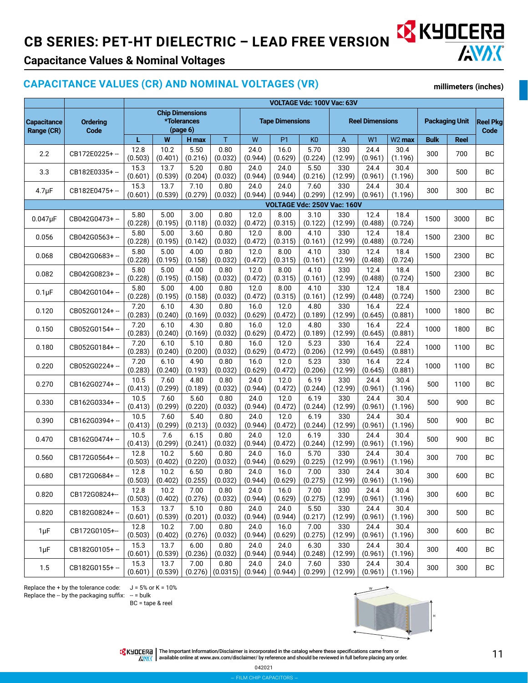# CB SERIES: PET-HT DIELECTRIC – LEAD FREE VERSION **XX KYOCERE**



## **Capacitance Values & Nominal Voltages**

## **CAPACITANCE VALUES (CR) AND NOMINAL VOLTAGES (VR)**

**millimeters (inches)**

|                                                      |               | <b>VOLTAGE Vdc: 100V Vac: 63V</b>                 |                 |                 |                        |                 |                 |                        |                |                 |                       |                         |      |           |
|------------------------------------------------------|---------------|---------------------------------------------------|-----------------|-----------------|------------------------|-----------------|-----------------|------------------------|----------------|-----------------|-----------------------|-------------------------|------|-----------|
| <b>Capacitance</b><br>Ordering<br>Code<br>Range (CR) |               | <b>Chip Dimensions</b><br>*Tolerances<br>(page 6) |                 |                 | <b>Tape Dimensions</b> |                 |                 | <b>Reel Dimensions</b> |                |                 | <b>Packaging Unit</b> | <b>Reel Pkg</b><br>Code |      |           |
|                                                      |               | L                                                 | W               | H max           | T                      | W               | <b>P1</b>       | K <sub>0</sub>         | A              | W <sub>1</sub>  | W <sub>2</sub> max    | <b>Bulk</b>             | Reel |           |
| 2.2                                                  | CB172E0225+-  | 12.8<br>(0.503)                                   | 10.2<br>(0.401) | 5.50<br>(0.216) | 0.80<br>(0.032)        | 24.0<br>(0.944) | 16.0<br>(0.629) | 5.70<br>(0.224)        | 330<br>(12.99) | 24.4<br>(0.961) | 30.4<br>(1.196)       | 300                     | 700  | BC        |
| 3.3                                                  | CB182E0335+-  | 15.3<br>(0.601)                                   | 13.7<br>(0.539) | 5.20<br>(0.204) | 0.80<br>(0.032)        | 24.0<br>(0.944) | 24.0<br>(0.944) | 5.50<br>(0.216)        | 330<br>(12.99) | 24.4<br>(0.961) | 30.4<br>(1.196)       | 300                     | 500  | BC        |
| $4.7 \mu F$                                          | CB182E0475+-  | 15.3<br>(0.601)                                   | 13.7<br>(0.539) | 7.10<br>(0.279) | 0.80<br>(0.032)        | 24.0<br>(0.944) | 24.0<br>(0.944) | 7.60<br>(0.299)        | 330<br>(12.99) | 24.4<br>(0.961) | 30.4<br>(1.196)       | 300                     | 300  | BC        |
| VOLTAGE Vdc: 250V Vac: 160V                          |               |                                                   |                 |                 |                        |                 |                 |                        |                |                 |                       |                         |      |           |
| $0.047\mu F$                                         | CB042G0473+-  | 5.80<br>(0.228)                                   | 5.00<br>(0.195) | 3.00<br>(0.118) | 0.80<br>(0.032)        | 12.0<br>(0.472) | 8.00<br>(0.315) | 3.10<br>(0.122)        | 330<br>(12.99) | 12.4<br>(0.488) | 18.4<br>(0.724)       | 1500                    | 3000 | BC        |
| 0.056                                                | CB042G0563+-  | 5.80<br>(0.228)                                   | 5.00<br>(0.195) | 3.60<br>(0.142) | 0.80<br>(0.032)        | 12.0<br>(0.472) | 8.00<br>(0.315) | 4.10<br>(0.161)        | 330<br>(12.99) | 12.4<br>(0.488) | 18.4<br>(0.724)       | 1500                    | 2300 | <b>BC</b> |
| 0.068                                                | CB042G0683+-  | 5.80<br>(0.228)                                   | 5.00<br>(0.195) | 4.00<br>(0.158) | 0.80<br>(0.032)        | 12.0<br>(0.472) | 8.00<br>(0.315) | 4.10<br>(0.161)        | 330<br>(12.99) | 12.4<br>(0.488) | 18.4<br>(0.724)       | 1500                    | 2300 | <b>BC</b> |
| 0.082                                                | CB042G0823+-  | 5.80<br>(0.228)                                   | 5.00<br>(0.195) | 4.00<br>(0.158) | 0.80<br>(0.032)        | 12.0<br>(0.472) | 8.00<br>(0.315) | 4.10<br>(0.161)        | 330<br>(12.99) | 12.4<br>(0.488) | 18.4<br>(0.724)       | 1500                    | 2300 | <b>BC</b> |
| $0.1\mu F$                                           | CB042G0104+-  | 5.80<br>(0.228)                                   | 5.00<br>(0.195) | 4.00<br>(0.158) | 0.80<br>(0.032)        | 12.0<br>(0.472) | 8.00<br>(0.315) | 4.10<br>(0.161)        | 330<br>(12.99) | 12.4<br>(0.448) | 18.4<br>(0.724)       | 1500                    | 2300 | BC        |
| 0.120                                                | CB052G0124+-  | 7.20<br>(0.283)                                   | 6.10<br>(0.240) | 4.30<br>(0.169) | 0.80<br>(0.032)        | 16.0<br>(0.629) | 12.0<br>(0.472) | 4.80<br>(0.189)        | 330<br>(12.99) | 16.4<br>(0.645) | 22.4<br>(0.881)       | 1000                    | 1800 | <b>BC</b> |
| 0.150                                                | CB052G0154+-  | 7.20<br>(0.283)                                   | 6.10<br>(0.240) | 4.30<br>(0.169) | 0.80<br>(0.032)        | 16.0<br>(0.629) | 12.0<br>(0.472) | 4.80<br>(0.189)        | 330<br>(12.99) | 16.4<br>(0.645) | 22.4<br>(0.881)       | 1000                    | 1800 | BC        |
| 0.180                                                | CB052G0184+-  | 7.20<br>(0.283)                                   | 6.10<br>(0.240) | 5.10<br>(0.200) | 0.80<br>(0.032)        | 16.0<br>(0.629) | 12.0<br>(0.472) | 5.23<br>(0.206)        | 330<br>(12.99) | 16.4<br>(0.645) | 22.4<br>(0.881)       | 1000                    | 1100 | BC        |
| 0.220                                                | CB052G0224+-  | 7.20<br>(0.283)                                   | 6.10<br>(0.240) | 4.90<br>(0.193) | 0.80<br>(0.032)        | 16.0<br>(0.629) | 12.0<br>(0.472) | 5.23<br>(0.206)        | 330<br>(12.99) | 16.4<br>(0.645) | 22.4<br>(0.881)       | 1000                    | 1100 | BC        |
| 0.270                                                | CB162G0274+-  | 10.5<br>(0.413)                                   | 7.60<br>(0.299) | 4.80<br>(0.189) | 0.80<br>(0.032)        | 24.0<br>(0.944) | 12.0<br>(0.472) | 6.19<br>(0.244)        | 330<br>(12.99) | 24.4<br>(0.961) | 30.4<br>(1.196)       | 500                     | 1100 | BC        |
| 0.330                                                | CB162G0334+-  | 10.5<br>(0.413)                                   | 7.60<br>(0.299) | 5.60<br>(0.220) | 0.80<br>(0.032)        | 24.0<br>(0.944) | 12.0<br>(0.472) | 6.19<br>(0.244)        | 330<br>(12.99) | 24.4<br>(0.961) | 30.4<br>(1.196)       | 500                     | 900  | <b>BC</b> |
| 0.390                                                | CB162G0394+-  | 10.5<br>(0.413)                                   | 7.60<br>(0.299) | 5.40<br>(0.213) | 0.80<br>(0.032)        | 24.0<br>(0.944) | 12.0<br>(0.472) | 6.19<br>(0.244)        | 330<br>(12.99) | 24.4<br>(0.961) | 30.4<br>(1.196)       | 500                     | 900  | BC        |
| 0.470                                                | CB162G0474+-  | 10.5<br>(0.413)                                   | 7.6<br>(0.299)  | 6.15<br>(0.241) | 0.80<br>(0.032)        | 24.0<br>(0.944) | 12.0<br>(0.472) | 6.19<br>(0.244)        | 330<br>(12.99) | 24.4<br>(0.961) | 30.4<br>(1.196)       | 500                     | 900  | BC        |
| 0.560                                                | CB172G0564+-  | 12.8<br>(0.503)                                   | 10.2<br>(0.402) | 5.60<br>(0.220) | 0.80<br>(0.032)        | 24.0<br>(0.944) | 16.0<br>(0.629) | 5.70<br>(0.225)        | 330<br>(12.99) | 24.4<br>(0.961) | 30.4<br>(1.196)       | 300                     | 700  | <b>BC</b> |
| 0.680                                                | CB172G0684+-  | 12.8<br>(0.503)                                   | 10.2<br>(0.402) | 6.50<br>(0.255) | 0.80<br>(0.032)        | 24.0<br>(0.944) | 16.0<br>(0.629) | 7.00<br>(0.275)        | 330<br>(12.99) | 24.4<br>(0.961) | 30.4<br>(1.196)       | 300                     | 600  | BC        |
| 0.820                                                | CB172G0824+-- | 12.8<br>(0.503)                                   | 10.2<br>(0.402) | 7.00<br>(0.276) | 0.80<br>(0.032)        | 24.0<br>(0.944) | 16.0<br>(0.629) | 7.00<br>(0.275)        | 330<br>(12.99) | 24.4<br>(0.961) | 30.4<br>(1.196)       | 300                     | 600  | BC        |
| 0.820                                                | CB182G0824+-  | 15.3<br>(0.601)                                   | 13.7<br>(0.539) | 5.10<br>(0.201) | 0.80<br>(0.032)        | 24.0<br>(0.944) | 24.0<br>(0.944) | 5.50<br>(0.217)        | 330<br>(12.99) | 24.4<br>(0.961) | 30.4<br>(1.196)       | 300                     | 500  | BC        |
| $1 \mu F$                                            | CB172G0105+-- | 12.8<br>(0.503)                                   | 10.2<br>(0.402) | 7.00<br>(0.276) | 0.80<br>(0.032)        | 24.0<br>(0.944) | 16.0<br>(0.629) | 7.00<br>(0.275)        | 330<br>(12.99) | 24.4<br>(0.961) | 30.4<br>(1.196)       | 300                     | 600  | ВC        |
| $1\mu F$                                             | CB182G0105+-  | 15.3<br>(0.601)                                   | 13.7<br>(0.539) | 6.00<br>(0.236) | 0.80<br>(0.032)        | 24.0<br>(0.944) | 24.0<br>(0.944) | 6.30<br>(0.248)        | 330<br>(12.99) | 24.4<br>(0.961) | 30.4<br>(1.196)       | 300                     | 400  | ВC        |
| 1.5                                                  | CB182G0155+-  | 15.3<br>(0.601)                                   | 13.7<br>(0.539) | 7.00<br>(0.276) | 0.80<br>(0.0315)       | 24.0<br>(0.944) | 24.0<br>(0.944) | 7.60<br>(0.299)        | 330<br>(12.99) | 24.4<br>(0.961) | 30.4<br>(1.196)       | 300                     | 300  | BC        |

Replace the + by the tolerance code:  $J = 5%$  or K = 10% Replace the  $-$  by the packaging suffix:  $-$  = bulk

BC = tape & reel



The Important Information/Disclaimer is incorporated in the catalog where these specifications came from or<br>available online at [www.avx.com/disclaimer/](http://www.avx.com/disclaimer/) by reference and should be reviewed in full before placing any order.

– film chip capacitors – 042021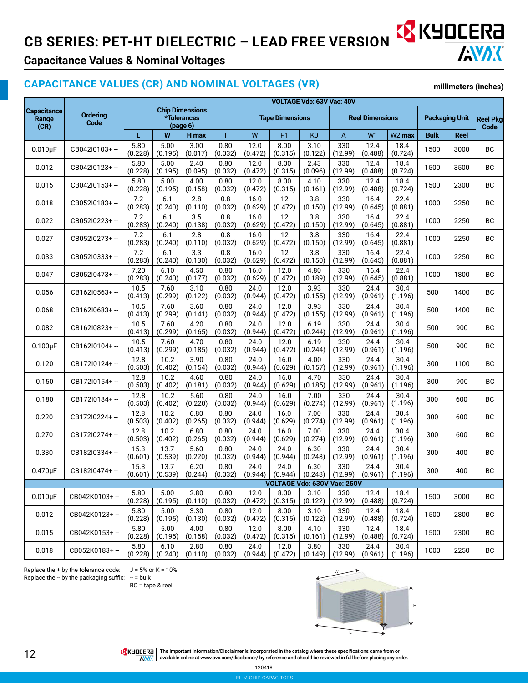## **CB SERIES: PET-HT DIELECTRIC – LEAD FREE VERSION & KYOCERA**



## **Capacitance Values & Nominal Voltages**

### **CAPACITANCE VALUES (CR) AND NOMINAL VOLTAGES (VR)**

**millimeters (inches)**

|                                     |                         | VOLTAGE Vdc: 63V Vac: 40V |                                                   |                 |                 |                 |                        |                             |                |                        |                    |                       |             |                         |
|-------------------------------------|-------------------------|---------------------------|---------------------------------------------------|-----------------|-----------------|-----------------|------------------------|-----------------------------|----------------|------------------------|--------------------|-----------------------|-------------|-------------------------|
| <b>Capacitance</b><br>Range<br>(CR) | <b>Ordering</b><br>Code |                           | <b>Chip Dimensions</b><br>*Tolerances<br>(page 6) |                 |                 |                 | <b>Tape Dimensions</b> |                             |                | <b>Reel Dimensions</b> |                    | <b>Packaging Unit</b> |             | <b>Reel Pkg</b><br>Code |
|                                     |                         | L                         | W                                                 | H max           | T               | W               | P <sub>1</sub>         | K <sub>0</sub>              | A              | W <sub>1</sub>         | W <sub>2</sub> max | <b>Bulk</b>           | <b>Reel</b> |                         |
| $0.010\mu F$                        | CB042l0103+ --          | 5.80<br>(0.228)           | 5.00<br>(0.195)                                   | 3.00<br>(0.017) | 0.80<br>(0.032) | 12.0<br>(0.472) | 8.00<br>(0.315)        | 3.10<br>(0.122)             | 330<br>(12.99) | 12.4<br>(0.488)        | 18.4<br>(0.724)    | 1500                  | 3000        | BC                      |
| 0.012                               | CB042I0123+-            | 5.80<br>(0.228)           | 5.00<br>(0.195)                                   | 2.40<br>(0.095) | 0.80<br>(0.032) | 12.0<br>(0.472) | 8.00<br>(0.315)        | 2.43<br>(0.096)             | 330<br>(12.99) | 12.4<br>(0.488)        | 18.4<br>(0.724)    | 1500                  | 3500        | <b>BC</b>               |
| 0.015                               | CB042I0153+-            | 5.80<br>(0.228)           | 5.00<br>(0.195)                                   | 4.00<br>(0.158) | 0.80<br>(0.032) | 12.0<br>(0.472) | 8.00<br>(0.315)        | 4.10<br>(0.161)             | 330<br>(12.99) | 12.4<br>(0.488)        | 18.4<br>(0.724)    | 1500                  | 2300        | <b>BC</b>               |
| 0.018                               | CB052I0183+-            | 7.2<br>(0.283)            | 6.1<br>(0.240)                                    | 2.8<br>(0.110)  | 0.8<br>(0.032)  | 16.0<br>(0.629) | 12<br>(0.472)          | 3.8<br>(0.150)              | 330<br>(12.99) | 16.4<br>(0.645)        | 22.4<br>(0.881)    | 1000                  | 2250        | <b>BC</b>               |
| 0.022                               | CB052l0223+-            | 7.2<br>(0.283)            | 6.1<br>(0.240)                                    | 3.5<br>(0.138)  | 0.8<br>(0.032)  | 16.0<br>(0.629) | 12<br>(0.472)          | 3.8<br>(0.150)              | 330<br>(12.99) | 16.4<br>(0.645)        | 22.4<br>(0.881)    | 1000                  | 2250        | BC                      |
| 0.027                               | CB052I0273+-            | 7.2<br>(0.283)            | 6.1<br>(0.240)                                    | 2.8<br>(0.110)  | 0.8<br>(0.032)  | 16.0<br>(0.629) | 12<br>(0.472)          | 3.8<br>(0.150)              | 330<br>(12.99) | 16.4<br>(0.645)        | 22.4<br>(0.881)    | 1000                  | 2250        | BC                      |
| 0.033                               | CB052I0333+-            | 7.2<br>(0.283)            | 6.1<br>(0.240)                                    | 3.3<br>(0.130)  | 0.8<br>(0.032)  | 16.0<br>(0.629) | 12<br>(0.472)          | 3.8<br>(0.150)              | 330<br>(12.99) | 16.4<br>(0.645)        | 22.4<br>(0.881)    | 1000                  | 2250        | <b>BC</b>               |
| 0.047                               | CB052I0473+-            | 7.20<br>(0.283)           | 6.10<br>(0.240)                                   | 4.50<br>(0.177) | 0.80<br>(0.032) | 16.0<br>(0.629) | 12.0<br>(0.472)        | 4.80<br>(0.189)             | 330<br>(12.99) | 16.4<br>(0.645)        | 22.4<br>(0.881)    | 1000                  | 1800        | <b>BC</b>               |
| 0.056                               | CB162I0563+-            | 10.5<br>(0.413)           | 7.60<br>(0.299)                                   | 3.10<br>(0.122) | 0.80<br>(0.032) | 24.0<br>(0.944) | 12.0<br>(0.472)        | 3.93<br>(0.155)             | 330<br>(12.99) | 24.4<br>(0.961)        | 30.4<br>(1.196)    | 500                   | 1400        | ВC                      |
| 0.068                               | CB162I0683+-            | 10.5<br>(0.413)           | 7.60<br>(0.299)                                   | 3.60<br>(0.141) | 0.80<br>(0.032) | 24.0<br>(0.944) | 12.0<br>(0.472)        | 3.93<br>(0.155)             | 330<br>(12.99) | 24.4<br>(0.961)        | 30.4<br>(1.196)    | 500                   | 1400        | BC                      |
| 0.082                               | CB162l0823+-            | 10.5<br>(0.413)           | 7.60<br>(0.299)                                   | 4.20<br>(0.165) | 0.80<br>(0.032) | 24.0<br>(0.944) | 12.0<br>(0.472)        | 6.19<br>(0.244)             | 330<br>(12.99) | 24.4<br>(0.961)        | 30.4<br>(1.196)    | 500                   | 900         | BC                      |
| $0.100\mu F$                        | CB162I0104+-            | 10.5<br>(0.413)           | 7.60<br>(0.299)                                   | 4.70<br>(0.185) | 0.80<br>(0.032) | 24.0<br>(0.944) | 12.0<br>(0.472)        | 6.19<br>(0.244)             | 330<br>(12.99) | 24.4<br>(0.961)        | 30.4<br>(1.196)    | 500                   | 900         | <b>BC</b>               |
| 0.120                               | CB172I0124+-            | 12.8<br>(0.503)           | 10.2<br>(0.402)                                   | 3.90<br>(0.154) | 0.80<br>(0.032) | 24.0<br>(0.944) | 16.0<br>(0.629)        | 4.00<br>(0.157)             | 330<br>(12.99) | 24.4<br>(0.961)        | 30.4<br>(1.196)    | 300                   | 1100        | BC                      |
| 0.150                               | CB172I0154+-            | 12.8<br>(0.503)           | 10.2<br>(0.402)                                   | 4.60<br>(0.181) | 0.80<br>(0.032) | 24.0<br>(0.944) | 16.0<br>(0.629)        | 4.70<br>(0.185)             | 330<br>(12.99) | 24.4<br>(0.961)        | 30.4<br>(1.196)    | 300                   | 900         | <b>BC</b>               |
| 0.180                               | CB172I0184+-            | 12.8<br>(0.503)           | 10.2<br>(0.402)                                   | 5.60<br>(0.220) | 0.80<br>(0.032) | 24.0<br>(0.944) | 16.0<br>(0.629)        | 7.00<br>(0.274)             | 330<br>(12.99) | 24.4<br>(0.961)        | 30.4<br>(1.196)    | 300                   | 600         | BC                      |
| 0.220                               | CB172I0224+-            | 12.8<br>(0.503)           | 10.2<br>(0.402)                                   | 6.80<br>(0.265) | 0.80<br>(0.032) | 24.0<br>(0.944) | 16.0<br>(0.629)        | 7.00<br>(0.274)             | 330<br>(12.99) | 24.4<br>(0.961)        | 30.4<br>(1.196)    | 300                   | 600         | BC                      |
| 0.270                               | CB172I0274+-            | 12.8<br>(0.503)           | 10.2<br>(0.402)                                   | 6.80<br>(0.265) | 0.80<br>(0.032) | 24.0<br>(0.944) | 16.0<br>(0.629)        | 7.00<br>(0.274)             | 330<br>(12.99) | 24.4<br>(0.961)        | 30.4<br>(1.196)    | 300                   | 600         | <b>BC</b>               |
| 0.330                               | CB182I0334+-            | 15.3<br>(0.601)           | 13.7<br>(0.539)                                   | 5.60<br>(0.220) | 0.80<br>(0.032) | 24.0<br>(0.944) | 24.0<br>(0.944)        | 6.30<br>(0.248)             | 330<br>(12.99) | 24.4<br>(0.961)        | 30.4<br>(1.196)    | 300                   | 400         | BC                      |
| $0.470\mu F$                        | CB182I0474+-            | 15.3<br>(0.601)           | 13.7<br>(0.539)                                   | 6.20<br>(0.244) | 0.80<br>(0.032) | 24.0<br>(0.944) | 24.0<br>(0.944)        | 6.30<br>(0.248)             | 330<br>(12.99) | 24.4<br>(0.961)        | 30.4<br>(1.196)    | 300                   | 400         | BC                      |
|                                     |                         |                           |                                                   |                 |                 |                 |                        | VOLTAGE Vdc: 630V Vac: 250V |                |                        |                    |                       |             |                         |
| $0.010\mu F$                        | CB042K0103+-            | 5.80<br>(0.228)           | 5.00<br>(0.195)                                   | 2.80<br>(0.110) | 0.80<br>(0.032) | 12.0<br>(0.472) | 8.00<br>(0.315)        | 3.10<br>(0.122)             | 330<br>(12.99) | 12.4<br>(0.488)        | 18.4<br>(0.724)    | 1500                  | 3000        | ВC                      |
| 0.012                               | CB042K0123+-            | 5.80<br>(0.228)           | 5.00<br>(0.195)                                   | 3.30<br>(0.130) | 0.80<br>(0.032) | 12.0<br>(0.472) | 8.00<br>(0.315)        | 3.10<br>(0.122)             | 330<br>(12.99) | 12.4<br>(0.488)        | 18.4<br>(0.724)    | 1500                  | 2800        | ВC                      |
| 0.015                               | CB042K0153+-            | 5.80<br>(0.228)           | 5.00<br>(0.195)                                   | 4.00<br>(0.158) | 0.80<br>(0.032) | 12.0<br>(0.472) | 8.00<br>(0.315)        | 4.10<br>(0.161)             | 330<br>(12.99) | 12.4<br>(0.488)        | 18.4<br>(0.724)    | 1500                  | 2300        | ВC                      |
| 0.018                               | CB052K0183+-            | 5.80<br>(0.228)           | 6.10<br>(0.240)                                   | 2.80<br>(0.110) | 0.80<br>(0.032) | 24.0<br>(0.944) | 12.0<br>(0.472)        | 3.80<br>(0.149)             | 330<br>(12.99) | 24.4<br>(0.961)        | 30.4<br>(1.196)    | 1000                  | 2250        | BC                      |

Replace the + by the tolerance code:  $J = 5%$  or K = 10% Replace the  $-$  by the packaging suffix:  $-$  = bulk

BC = tape & reel



The Important Information/Disclaimer is incorporated in the catalog where these specifications came from or<br>A ANAX available online at [www.avx.com/disclaimer/](http://www.avx.com/disclaimer/) by reference and should be reviewed in full before placing an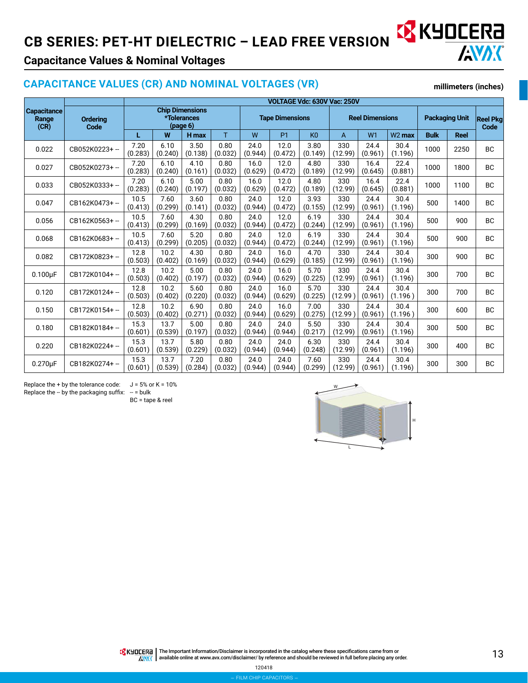## **CB SERIES: PET-HT DIELECTRIC – LEAD FREE VERSION AND LEAD ERECTED**



**millimeters (inches)**

## **Capacitance Values & Nominal Voltages**

#### **CAPACITANCE VALUES (CR) AND NOMINAL VOLTAGES (VR)**

**Capacitance Range (CR) VOLTAGE Vdc: 630V Vac: 250V Ordering Code Chip Dimensions \*Tolerances (page 6) Tape Dimensions Reel Dimensions Packaging Unit Reel Pkg Code L W H max** T W P1 K0 A W1 W2 **max Bulk Reel**  $0.022$  CB052K0223+ -- 7.20 (0.283) 6.10 (0.240) 3.50 (0.138) 0.80 (0.032) 24.0 (0.944) 12.0 (0.472) 3.80 (0.149) 330 (12.99) 24.4 (0.961) 30.4  $\begin{array}{c|c|c|c|c} 30.4 & 1000 & 2250 & \text{BC} \end{array}$ 0.027 CB052K0273+ -- 7.20 (0.283) 6.10 (0.240) 4.10 (0.161) 0.80 (0.032) 16.0 (0.629) 12.0 (0.472) 4.80 (0.189) 330 (12.99) 16.4 (0.645) 22.4  $\begin{array}{|c|c|c|c|c|} \hline 22.4 & 1000 & 1800 & \text{BC} \ \hline (0.881) & 1000 & 1800 & \text{BC} \ \hline \end{array}$  $0.033$  CB052K0333+ -- 7.20 (0.283) 6.10 (0.240) 5.00 (0.197) 0.80 (0.032) 16.0 (0.629) 12.0 (0.472) 4.80 (0.189) 330 (12.99) 16.4 (0.645) 22.4  $\begin{array}{|c|c|c|c|c|c|} \hline 22.4 & 1000 & 1100 & \text{BC} \ \hline (0.881) & 1000 & 1100 & \text{BC} \ \hline \end{array}$  $0.047$  CB162K0473+ -- 10.5 (0.413) 7.60 (0.299) 3.60 (0.141) 0.80 (0.032) 24.0 (0.944) 12.0 (0.472) 3.93 (0.155) 330 (12.99) 24.4 (0.961) 30.4  $\begin{array}{|c|c|c|c|c|c|} \hline 30.4 & 500 & 1400 & \text{BC} \ \hline (1.196) & 500 & 1400 & \text{BC} \ \hline \end{array}$  $0.056$  CB162K0563+ -- 10.5 (0.413) 7.60 (0.299) 4.30 (0.169) 0.80 (0.032) 24.0 (0.944) 12.0 (0.472) 6.19 (0.244) 330 (12.99) 24.4 (0.961) 30.4  $\begin{array}{c|c|c|c|c} 30.4 & 500 & 900 & BC \end{array}$  $0.068$  CB162K0683+ -- 10.5 (0.413) 7.60 (0.299) 5.20 (0.205) 0.80 (0.032) 24.0 (0.944) 12.0 (0.472) 6.19 (0.244) 330 (12.99) 24.4 (0.961) 30.4  $\begin{array}{c|c|c|c|c} 30.4 & 500 & 900 & BC \end{array}$ 0.082 CB172K0823+ -- 12.8 (0.503) 10.2 (0.402) 4.30 (0.169) 0.80 (0.032) 24.0 (0.944) 16.0 (0.629) 4.70 (0.185) 330 (12.99) 24.4 (0.961) 30.4  $\begin{array}{|c|c|c|c|c|c|c|c|} \hline 30.4 & 300 & 900 & \text{BC} \ \hline (1.196) & 300 & 900 & \text{BC} \ \hline \end{array}$  $0.100 \mu$ F CB172K0104+ - 12.8 (0.503) 10.2 (0.402) 5.00 (0.197) 0.80 (0.032) 24.0 (0.944) 16.0 (0.629) 5.70 (0.225) 330 (12.99) 24.4 (0.961) 30.4  $\begin{array}{|c|c|c|c|c|c|} \hline 30.4 & 300 & 700 & \text{BC} \ \hline (1.196) & 300 & 700 & \text{BC} \ \hline \end{array}$  $0.120$  CB172K0124+ - 12.8 (0.503) 10.2 (0.402) 5.60 (0.220) 0.80 (0.032) 24.0 (0.944) 16.0 (0.629) 5.70 (0.225) 330  $(12.99)$ 24.4 (0.961) 30.4  $\begin{array}{c|c|c|c|c|c} 30.4 & 300 & 700 & \text{BC} \end{array}$  $0.150$  CB172K0154+ - 12.8 (0.503) 10.2 (0.402) 6.90 (0.271) 0.80 (0.032) 24.0 (0.944) 16.0 (0.629) 7.00 (0.275) 330 (12.99 ) 24.4 (0.961) 30.4  $\begin{array}{c|c|c|c|c} 30.4 & 300 & 600 & BC \end{array}$ 0.180 CB182K0184+ -- 15.3 (0.601) 13.7 (0.539) 5.00 (0.197) 0.80 (0.032) 24.0 (0.944) 24.0 (0.944) 5.50 (0.217) 330 (12.99) 24.4 (0.961) 30.4  $\begin{array}{c|c|c|c} 30.4 & 300 & 500 & BC \end{array}$  $0.220$  CB182K0224+ -  $15.3$ (0.601) 13.7 (0.539) 5.80  $(0.229)$ 0.80 (0.032) 24.0 (0.944) 24.0 (0.944) 6.30 (0.248) 330 (12.99) 24.4 (0.961) 30.4  $\begin{array}{c|c} 30.4 \ 1.196 \end{array}$  300 400 BC  $0.270 \mu$ F CB182K0274+ -- 15.3 (0.601) 13.7 (0.539) 7.20 (0.284) 0.80 (0.032) 24.0 (0.944) 24.0 (0.944) 7.60 (0.299) 330 (12.99) 24.4 (0.961) 30.4  $\begin{array}{|c|c|c|c|c|c|c|c|} \hline 300 & 300 & 300 & \text{BC} \ \hline (1.196) & 300 & 300 & \text{BC} \ \hline \end{array}$ 

#### Replace the + by the tolerance code:  $J = 5%$  or K = 10% Replace the  $-$  by the packaging suffix:  $-$  = bulk

BC = tape & reel



The Important Information/Disclaimer is incorporated in the catalog where these specifications came from or<br>available online at [www.avx.com/disclaimer/](http://www.avx.com/disclaimer/) by reference and should be reviewed in full before placing any order. **ANAK**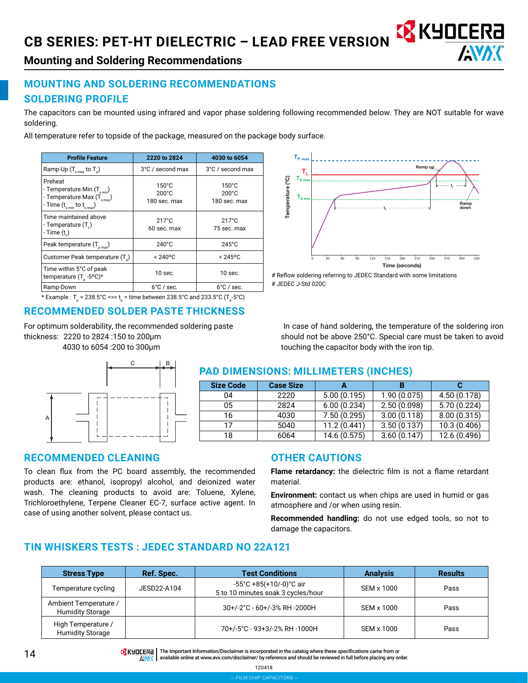

Ramp up

**Mounting and Soldering Recommendations**

## **MOUNTING AND SOLDERING RECOMMENDATIONS SOLDERING PROFILE**

The capacitors can be mounted using infrared and vapor phase soldering following recommended below. They are NOT suitable for wave soldering.

Temperature (ºC)

Temperature (°C)

 $\mathbf{T}_{\mathrm{L}}$ 

 $T_{\rm e}$ 

**TP max**

All temperature refer to topside of the package, measured on the package body surface.

| <b>Profile Feature</b>                                                                                                     | 2220 to 2824                                       | 4030 to 6054                                       |
|----------------------------------------------------------------------------------------------------------------------------|----------------------------------------------------|----------------------------------------------------|
| Ramp-Up $(T_{\text{max}}$ to $T_{\text{n}}$ )                                                                              | 3°C / second max                                   | 3°C / second max                                   |
| Preheat<br>- Temperature Min $(T_{s,min})$<br>- Temperature Max $(T_{\text{smax}})$<br>- Time $(t_{s min}$ to $t_{s max})$ | $150^{\circ}$ C<br>$200^{\circ}$ C<br>180 sec. max | $150^{\circ}$ C<br>$200^{\circ}$ C<br>180 sec. max |
| Time maintained above<br>- Temperature (T.)<br>- Time $(ti)$                                                               | $217^{\circ}$ C<br>60 sec. max                     | $217^{\circ}$ C<br>75 sec. max                     |
| Peak temperature $(T_{pmax})$                                                                                              | $240^{\circ}$ C                                    | $245^{\circ}$ C                                    |
| Customer Peak temperature (T)                                                                                              | $< 240^{\circ}$ C                                  | $< 245$ °C                                         |
| Time within 5°C of peak<br>temperature $(T_{n} - 5^{o}C)^{*}$                                                              | $10$ sec.                                          | $10$ sec.                                          |
| Ramp-Down                                                                                                                  | $6^{\circ}$ C / sec.                               | $6^{\circ}$ C / sec.                               |

\* Example : T<sub>p</sub> = 238.5°C =>> t<sub>p</sub> = time between 238.5°C and 233.5°C (T<sub>p</sub>-5°C)

## **RECOMMENDED SOLDER PASTE THICKNESS**

For optimum solderability, the recommended soldering paste thickness: 2220 to 2824 :150 to 200μm 4030 to 6054 :200 to 300μm



## **PAD DIMENSIONS: MILLIMETERS (INCHES)**

| <b>Size Code</b> | <b>Case Size</b> |              |             |              |
|------------------|------------------|--------------|-------------|--------------|
| 04               | 2220             | 5.00(0.195)  | 1.90(0.075) | 4.50 (0.178) |
| 05               | 2824             | 6.00(0.234)  | 2.50(0.098) | 5.70(0.224)  |
| 16               | 4030             | 7.50(0.295)  | 3.00(0.118) | 8.00(0.315)  |
| 17               | 5040             | 11.2(0.441)  | 3.50(0.137) | 10.3(0.406)  |
| 18               | 6064             | 14.6 (0.575) | 3.60(0.147) | 12.6 (0.496) |

#### **RECOMMENDED CLEANING**

To clean flux from the PC board assembly, the recommended products are: ethanol, isopropyl alcohol, and deionized water wash. The cleaning products to avoid are: Toluene, Xylene, Trichloroethylene, Terpene Cleaner EC-7, surface active agent. In case of using another solvent, please contact us.

#### **OTHER CAUTIONS**

**Flame retardancy:** the dielectric film is not a flame retardant material.

**Environment:** contact us when chips are used in humid or gas atmosphere and /or when using resin.

**Recommended handling:** do not use edged tools, so not to damage the capacitors.

## **TIN WHISKERS TESTS : JEDEC STANDARD NO 22A121**

| <b>Stress Type</b>                               | Ref. Spec.  | <b>Test Conditions</b>                                                             | <b>Analysis</b> | <b>Results</b> |
|--------------------------------------------------|-------------|------------------------------------------------------------------------------------|-----------------|----------------|
| Temperature cycling                              | JESD22-A104 | $-55^{\circ}$ C +85(+10/-0) $^{\circ}$ C air<br>5 to 10 minutes soak 3 cycles/hour | SEM x 1000      | Pass           |
| Ambient Temperature /<br><b>Humidity Storage</b> |             | 30+/-2°C - 60+/-3% RH -2000H                                                       | SEM x 1000      | Pass           |
| High Temperature /<br><b>Humidity Storage</b>    |             | 70+/-5°C - 93+3/-2% RH -1000H                                                      | SEM x 1000      | Pass           |

The Important Information/Disclaimer is incorporated in the catalog where these specifications came from or<br>AWAK available online at [www.avx.com/disclaimer/](http://www.avx.com/disclaimer/) by reference and should be reviewed in full before placing any

# Reflow soldering referring to JEDEC Standard with some limitations # JEDEC J-Std 020C 0 30 60 90 120 150 180 210 240 270 300 330 Time (seconds) **TS min tL ts** Ramp down

 In case of hand soldering, the temperature of the soldering iron should not be above 250°C. Special care must be taken to avoid touching the capacitor body with the iron tip.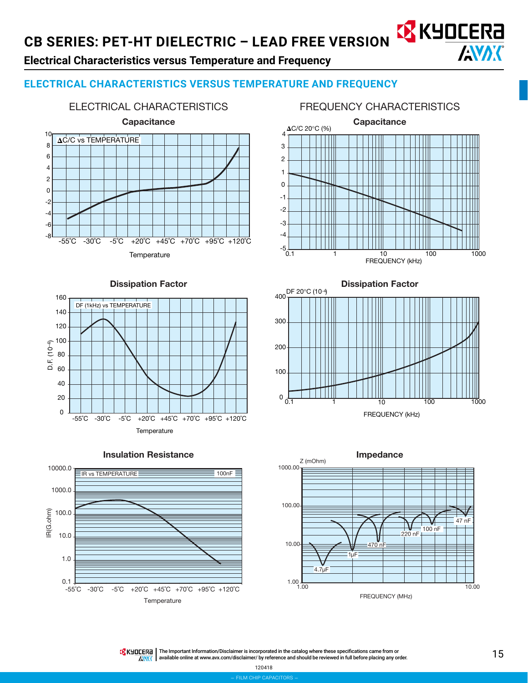## **Electrical Characteristics versus Temperature and Frequency**

## **ELECTRICAL CHARACTERISTICS VERSUS TEMPERATURE AND FREQUENCY**



#### FREQUENCY CHARACTERISTICS

AVX



#### Dissipation Factor



Insulation Resistance





400

DF 20°C (10-4)



Dissipation Factor



The Important Information/Disclaimer is incorporated in the catalog where these specifications came from or<br>available online at [www.avx.com/disclaimer/](http://www.avx.com/disclaimer/) by reference and should be reviewed in full before placing any order. **AMAK**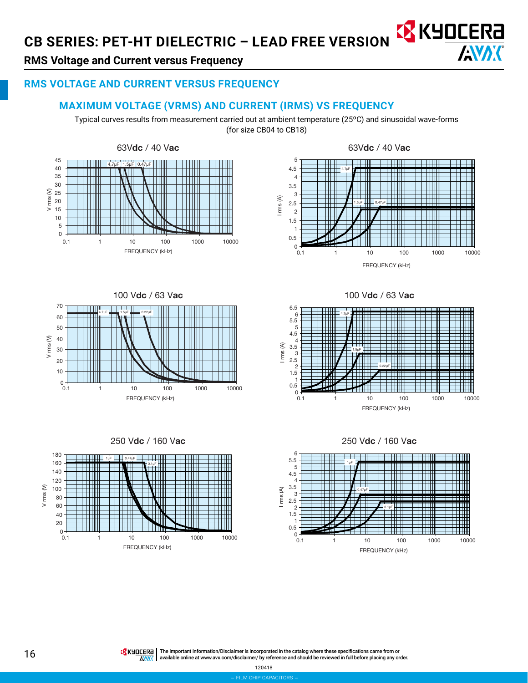

## **RMS Voltage and Current versus Frequency**

## **RMS VOLTAGE AND CURRENT VERSUS FREQUENCY**

#### **MAXIMUM VOLTAGE (VRMS) AND CURRENT (IRMS) VS FREQUENCY**

Typical curves results from measurement carried out at ambient temperature (25ºC) and sinusoidal wave-forms (for size CB04 to CB18)





100 Vdc / 63 Vac 70 1 H H H H H S BITTI T 4.7µF **Number 1.5µF** Manual 0.22µF 60 50 V rms (V) 40 30  $20$ 10 W  $0 +$ 0.1 1 10 100 1000 10000 FREQUENCY (kHz)





100 Vdc / 63 Vac





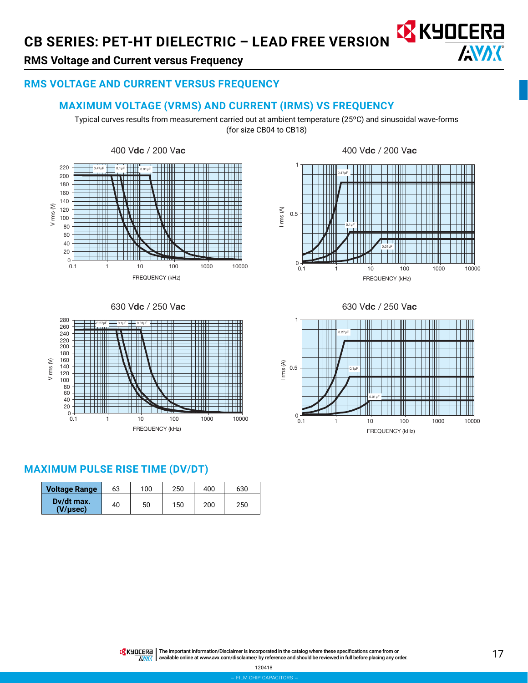

III

## **RMS Voltage and Current versus Frequency**

#### **RMS VOLTAGE AND CURRENT VERSUS FREQUENCY**

#### **MAXIMUM VOLTAGE (VRMS) AND CURRENT (IRMS) VS FREQUENCY**

Typical curves results from measurement carried out at ambient temperature (25ºC) and sinusoidal wave-forms (for size CB04 to CB18)

1





### **MAXIMUM PULSE RISE TIME (DV/DT)**

| <b>Voltage Range</b>   | 63 | 100 | 250 | 400 | 630 |
|------------------------|----|-----|-----|-----|-----|
| Dy/dt max.<br>(V/usec) | 40 | 50  | 150 | 200 | 250 |

I rms (A) 0.5 0.1µF TIII TTIII THE أأأأأت الألالي a an an S Ш 0.01µF 0 0.1 1 10 100 1000 10000 FREQUENCY (kHz)



HII

0.47µF

The Important Information/Disclaimer is incorporated in the catalog where these specifications came from or<br>available online at [www.avx.com/disclaimer/](http://www.avx.com/disclaimer/) by reference and should be reviewed in full before placing any order. **ANAK**